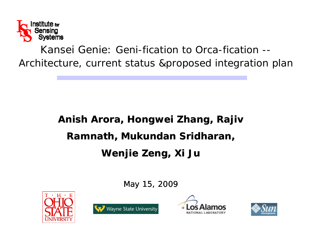

*Kansei Genie*: Geni-fication to Orca-fication --Architecture, current status &proposed integration plan

# **Anish Arora, Hongwei Zhang, Rajiv Ramnath Mukundan Sridharan Ramnath, Sridharan, Wenjie Zeng, Xi Ju**

May 15, 2009







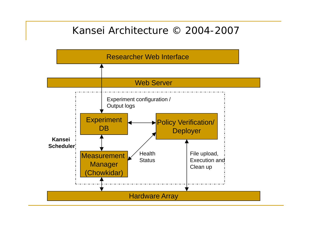### Kansei Architecture © 2004-2007

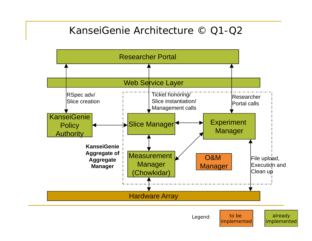## KanseiGenie Architecture © Q1-Q2

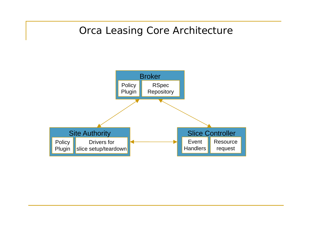# Orca Leasing Core Architecture

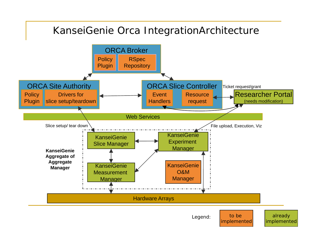# KanseiGenie Orca IntegrationArchitecture

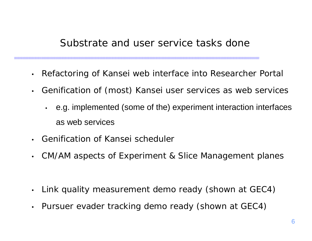### Substrate and user service tasks done

- •Refactoring of Kansei web interface into Researcher Portal
- $\bullet$  Genification of (most) Kansei user services as web services
	- e.g. implemented (some of the) experiment interaction interfaces as web services
- •• Genification of Kansei scheduler
- •CM/AM aspects of Experiment & Slice Management planes

- $\bullet$ Link quality measurement demo ready (shown at GEC4)
- $\bullet$ Pursuer evader tracking demo ready (shown at GEC4)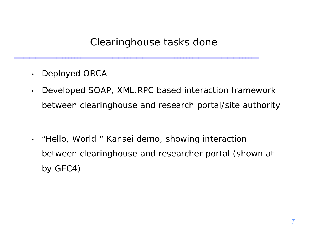# Clearinghouse tasks done

- •Deployed ORCA
- • Developed SOAP, XML.RPC based interaction framework between clearinghouse and research portal/site authority

•• "Hello, World!" Kansei demo, showing interaction between clearinghouse and researcher portal (shown at by  $GEC4$ )